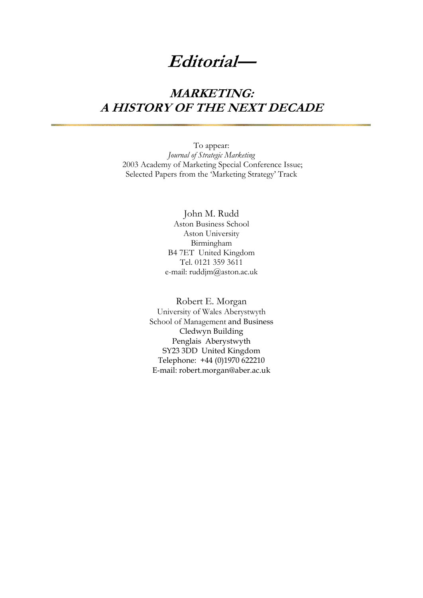# **Editorial—**

## **MARKETING: A HISTORY OF THE NEXT DECADE**

To appear: *Journal of Strategic Marketing*  2003 Academy of Marketing Special Conference Issue; Selected Papers from the 'Marketing Strategy' Track

> John M. Rudd Aston Business School Aston University Birmingham B4 7ET United Kingdom Tel. 0121 359 3611 e-mail: ruddjm@aston.ac.uk

Robert E. Morgan University of Wales Aberystwyth School of Management and Business Cledwyn Building Penglais Aberystwyth SY23 3DD United Kingdom Telephone: +44 (0)1970 622210 E-mail: robert.morgan@aber.ac.uk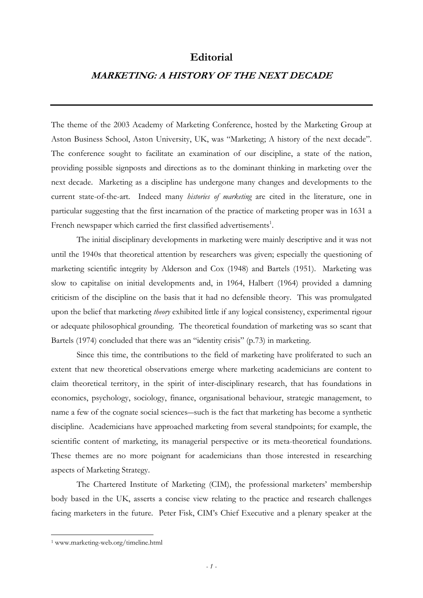### **Editorial**

### **MARKETING: A HISTORY OF THE NEXT DECADE**

The theme of the 2003 Academy of Marketing Conference, hosted by the Marketing Group at Aston Business School, Aston University, UK, was "Marketing; A history of the next decade". The conference sought to facilitate an examination of our discipline, a state of the nation, providing possible signposts and directions as to the dominant thinking in marketing over the next decade. Marketing as a discipline has undergone many changes and developments to the current state-of-the-art. Indeed many *histories of marketing* are cited in the literature, one in particular suggesting that the first incarnation of the practice of marketing proper was in 1631 a French newspaper which carried the first classified advertisements<sup>1</sup>.

The initial disciplinary developments in marketing were mainly descriptive and it was not until the 1940s that theoretical attention by researchers was given; especially the questioning of marketing scientific integrity by Alderson and Cox (1948) and Bartels (1951). Marketing was slow to capitalise on initial developments and, in 1964, Halbert (1964) provided a damning criticism of the discipline on the basis that it had no defensible theory. This was promulgated upon the belief that marketing *theory* exhibited little if any logical consistency, experimental rigour or adequate philosophical grounding. The theoretical foundation of marketing was so scant that Bartels (1974) concluded that there was an "identity crisis" (p.73) in marketing.

 Since this time, the contributions to the field of marketing have proliferated to such an extent that new theoretical observations emerge where marketing academicians are content to claim theoretical territory, in the spirit of inter-disciplinary research, that has foundations in economics, psychology, sociology, finance, organisational behaviour, strategic management, to name a few of the cognate social sciences―such is the fact that marketing has become a synthetic discipline. Academicians have approached marketing from several standpoints; for example, the scientific content of marketing, its managerial perspective or its meta-theoretical foundations. These themes are no more poignant for academicians than those interested in researching aspects of Marketing Strategy.

The Chartered Institute of Marketing (CIM), the professional marketers' membership body based in the UK, asserts a concise view relating to the practice and research challenges facing marketers in the future. Peter Fisk, CIM's Chief Executive and a plenary speaker at the

1

<sup>1</sup> www.marketing-web.org/timeline.html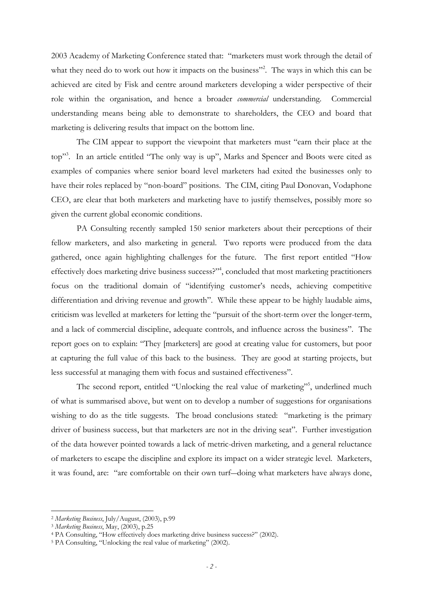2003 Academy of Marketing Conference stated that: "marketers must work through the detail of what they need do to work out how it impacts on the business"<sup>2</sup>. The ways in which this can be achieved are cited by Fisk and centre around marketers developing a wider perspective of their role within the organisation, and hence a broader *commercial* understanding. Commercial understanding means being able to demonstrate to shareholders, the CEO and board that marketing is delivering results that impact on the bottom line.

The CIM appear to support the viewpoint that marketers must "earn their place at the top"3 . In an article entitled "The only way is up", Marks and Spencer and Boots were cited as examples of companies where senior board level marketers had exited the businesses only to have their roles replaced by "non-board" positions. The CIM, citing Paul Donovan, Vodaphone CEO, are clear that both marketers and marketing have to justify themselves, possibly more so given the current global economic conditions.

PA Consulting recently sampled 150 senior marketers about their perceptions of their fellow marketers, and also marketing in general. Two reports were produced from the data gathered, once again highlighting challenges for the future. The first report entitled "How effectively does marketing drive business success?"<sup>4</sup>, concluded that most marketing practitioners focus on the traditional domain of "identifying customer's needs, achieving competitive differentiation and driving revenue and growth". While these appear to be highly laudable aims, criticism was levelled at marketers for letting the "pursuit of the short-term over the longer-term, and a lack of commercial discipline, adequate controls, and influence across the business". The report goes on to explain: "They [marketers] are good at creating value for customers, but poor at capturing the full value of this back to the business. They are good at starting projects, but less successful at managing them with focus and sustained effectiveness".

The second report, entitled "Unlocking the real value of marketing"<sup>5</sup>, underlined much of what is summarised above, but went on to develop a number of suggestions for organisations wishing to do as the title suggests. The broad conclusions stated: "marketing is the primary driver of business success, but that marketers are not in the driving seat". Further investigation of the data however pointed towards a lack of metric-driven marketing, and a general reluctance of marketers to escape the discipline and explore its impact on a wider strategic level. Marketers, it was found, are: "are comfortable on their own turf―doing what marketers have always done,

1

<sup>&</sup>lt;sup>2</sup> Marketing Business, July/August, (2003), p.99<br><sup>3</sup> Marketing Business, May, (2003), p.25<br><sup>4</sup> PA Consulting, "How effectively does marketing drive business success?" (2002).<br><sup>5</sup> PA Consulting, "Unlocking the real value o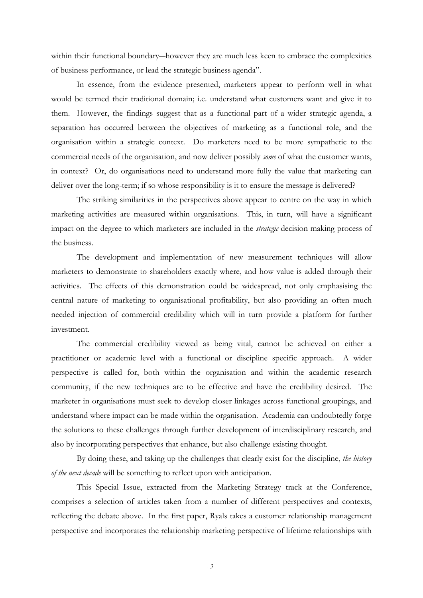within their functional boundary—however they are much less keen to embrace the complexities of business performance, or lead the strategic business agenda".

In essence, from the evidence presented, marketers appear to perform well in what would be termed their traditional domain; i.e. understand what customers want and give it to them. However, the findings suggest that as a functional part of a wider strategic agenda, a separation has occurred between the objectives of marketing as a functional role, and the organisation within a strategic context. Do marketers need to be more sympathetic to the commercial needs of the organisation, and now deliver possibly *some* of what the customer wants, in context? Or, do organisations need to understand more fully the value that marketing can deliver over the long-term; if so whose responsibility is it to ensure the message is delivered?

The striking similarities in the perspectives above appear to centre on the way in which marketing activities are measured within organisations. This, in turn, will have a significant impact on the degree to which marketers are included in the *strategic* decision making process of the business.

The development and implementation of new measurement techniques will allow marketers to demonstrate to shareholders exactly where, and how value is added through their activities. The effects of this demonstration could be widespread, not only emphasising the central nature of marketing to organisational profitability, but also providing an often much needed injection of commercial credibility which will in turn provide a platform for further investment.

The commercial credibility viewed as being vital, cannot be achieved on either a practitioner or academic level with a functional or discipline specific approach. A wider perspective is called for, both within the organisation and within the academic research community, if the new techniques are to be effective and have the credibility desired. The marketer in organisations must seek to develop closer linkages across functional groupings, and understand where impact can be made within the organisation. Academia can undoubtedly forge the solutions to these challenges through further development of interdisciplinary research, and also by incorporating perspectives that enhance, but also challenge existing thought.

By doing these, and taking up the challenges that clearly exist for the discipline, *the history of the next decade* will be something to reflect upon with anticipation.

This Special Issue, extracted from the Marketing Strategy track at the Conference, comprises a selection of articles taken from a number of different perspectives and contexts, reflecting the debate above. In the first paper, Ryals takes a customer relationship management perspective and incorporates the relationship marketing perspective of lifetime relationships with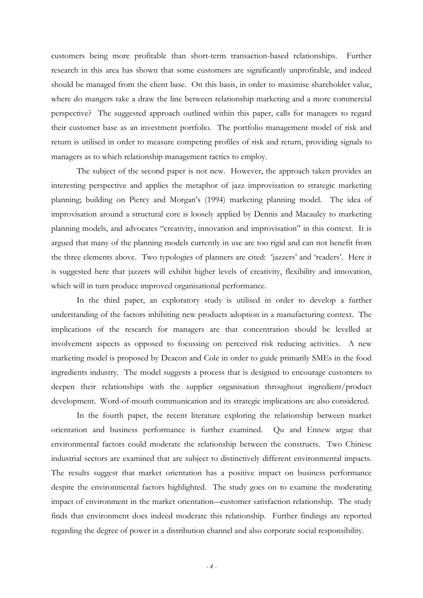customers being more profitable than short-term transaction-based relationships. Further research in this area has shown that some customers are significantly unprofitable, and indeed should be managed from the client base. On this basis, in order to maximise shareholder value, where do mangers take a draw the line between relationship marketing and a more commercial perspective? The suggested approach outlined within this paper, calls for managers to regard their customer base as an investment portfolio. The portfolio management model of risk and return is utilised in order to measure competing profiles of risk and return, providing signals to managers as to which relationship management tactics to employ.

The subject of the second paper is not new. However, the approach taken provides an interesting perspective and applies the metaphor of jazz improvisation to strategic marketing planning; building on Piercy and Morgan's (1994) marketing planning model. The idea of improvisation around a structural core is loosely applied by Dennis and Macauley to marketing planning models, and advocates "creativity, innovation and improvisation" in this context. It is argued that many of the planning models currently in use are too rigid and can not benefit from the three elements above. Two typologies of planners are cited: 'jazzers' and 'readers'. Here it is suggested here that jazzers will exhibit higher levels of creativity, flexibility and innovation, which will in turn produce improved organisational performance.

In the third paper, an exploratory study is utilised in order to develop a further understanding of the factors inhibiting new products adoption in a manufacturing context. The implications of the research for managers are that concentration should be levelled at involvement aspects as opposed to focussing on perceived risk reducing activities. A new marketing model is proposed by Deacon and Cole in order to guide primarily SMEs in the food ingredients industry. The model suggests a process that is designed to encourage customers to deepen their relationships with the supplier organisation throughout ingredient/product development. Word-of-mouth communication and its strategic implications are also considered.

In the fourth paper, the recent literature exploring the relationship between market orientation and business performance is further examined. Qu and Ennew argue that environmental factors could moderate the relationship between the constructs. Two Chinese industrial sectors are examined that are subject to distinctively different environmental impacts. The results suggest that market orientation has a positive impact on business performance despite the environmental factors highlighted. The study goes on to examine the moderating impact of environment in the market orientation―customer satisfaction relationship. The study finds that environment does indeed moderate this relationship. Further findings are reported regarding the degree of power in a distribution channel and also corporate social responsibility.